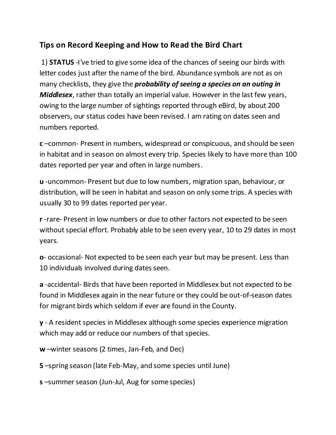## **Tips on Record Keeping and How to Read the Bird Chart**

1) **STATUS** -I've tried to give some idea of the chances of seeing our birds with letter codes just after the name of the bird. Abundance symbols are not as on many checklists, they give the *probability of seeing a species on an outing in Middlesex*, rather than totally an imperial value. However in the last few years, owing to the large number of sightings reported through eBird, by about 200 observers, our status codes have been revised. I am rating on dates seen and numbers reported.

**c** –common- Present in numbers, widespread or conspicuous, and should be seen in habitat and in season on almost every trip. Species likely to have more than 100 dates reported per year and often in large numbers.

**u** -uncommon- Present but due to low numbers, migration span, behaviour, or distribution, will be seen in habitat and season on only some trips. A species with usually 30 to 99 dates reported per year.

**r** -rare- Present in low numbers or due to other factors not expected to be seen without special effort. Probably able to be seen every year, 10 to 29 dates in most years.

**o**- occasional- Not expected to be seen each year but may be present. Less than 10 individuals involved during dates seen.

**a** -accidental- Birds that have been reported in Middlesex but not expected to be found in Middlesex again in the near future or they could be out-of-season dates for migrant birds which seldom if ever are found in the County.

**y** - A resident species in Middlesex although some species experience migration which may add or reduce our numbers of that species.

**w** –winter seasons (2 times, Jan-Feb, and Dec)

**S** –spring season (late Feb-May, and some species until June)

**s** –summer season (Jun-Jul, Aug for some species)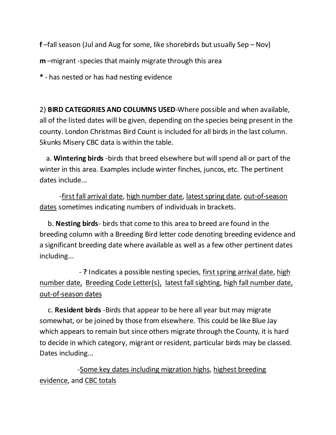**f** –fall season (Jul and Aug for some, like shorebirds but usually Sep – Nov)

**m** –migrant -species that mainly migrate through this area

**\*** - has nested or has had nesting evidence

2) **BIRD CATEGORIES AND COLUMNS USED**-Where possible and when available, all of the listed dates will be given, depending on the species being present in the county. London Christmas Bird Count is included for all birds in the last column. Skunks Misery CBC data is within the table.

 a. **Wintering birds** -birds that breed elsewhere but will spend all or part of the winter in this area. Examples include winter finches, juncos, etc. The pertinent dates include...

-first fall arrival date, high number date, latest spring date, out-of-season dates sometimes indicating numbers of individuals in brackets.

 b. **Nesting birds**- birds that come to this area to breed are found in the breeding column with a Breeding Bird letter code denoting breeding evidence and a significant breeding date where available as well as a few other pertinent dates including...

 - **?** Indicates a possible nesting species, first spring arrival date, high number date, Breeding Code Letter(s), latest fall sighting, high fall number date, out-of-season dates

 c. **Resident birds** -Birds that appear to be here all year but may migrate somewhat, or be joined by those from elsewhere. This could be like Blue Jay which appears to remain but since others migrate through the County, it is hard to decide in which category, migrant or resident, particular birds may be classed. Dates including...

 -Some key dates including migration highs, highest breeding evidence, and CBC totals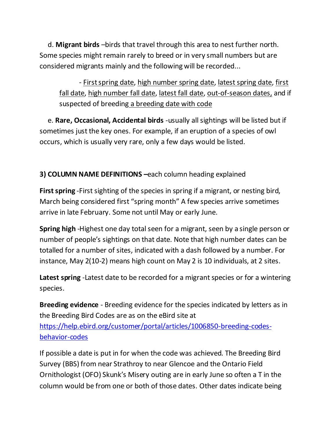d. **Migrant birds** –birds that travel through this area to nest further north. Some species might remain rarely to breed or in very small numbers but are considered migrants mainly and the following will be recorded...

- First spring date, high number spring date, latest spring date, first fall date, high number fall date, latest fall date, out-of-season dates, and if suspected of breeding a breeding date with code

 e. **Rare, Occasional, Accidental birds** -usually all sightings will be listed but if sometimes just the key ones. For example, if an eruption of a species of owl occurs, which is usually very rare, only a few days would be listed.

## **3) COLUMN NAME DEFINITIONS –**each column heading explained

**First spring** -First sighting of the species in spring if a migrant, or nesting bird, March being considered first "spring month" A few species arrive sometimes arrive in late February. Some not until May or early June.

**Spring high** -Highest one day total seen for a migrant, seen by a single person or number of people's sightings on that date. Note that high number dates can be totalled for a number of sites, indicated with a dash followed by a number. For instance, May 2(10-2) means high count on May 2 is 10 individuals, at 2 sites.

**Latest spring** -Latest date to be recorded for a migrant species or for a wintering species.

**Breeding evidence** - Breeding evidence for the species indicated by letters as in the Breeding Bird Codes are as on the eBird site at [https://help.ebird.org/customer/portal/articles/1006850-breeding-codes](https://help.ebird.org/customer/portal/articles/1006850-breeding-codes-behavior-codes)[behavior-codes](https://help.ebird.org/customer/portal/articles/1006850-breeding-codes-behavior-codes)

If possible a date is put in for when the code was achieved. The Breeding Bird Survey (BBS) from near Strathroy to near Glencoe and the Ontario Field Ornithologist (OFO) Skunk's Misery outing are in early June so often a T in the column would be from one or both of those dates. Other dates indicate being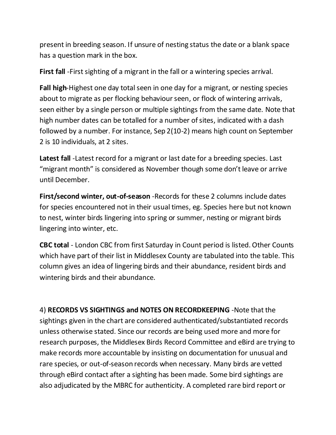present in breeding season. If unsure of nesting status the date or a blank space has a question mark in the box.

**First fall** -First sighting of a migrant in the fall or a wintering species arrival.

**Fall high**-Highest one day total seen in one day for a migrant, or nesting species about to migrate as per flocking behaviour seen, or flock of wintering arrivals, seen either by a single person or multiple sightings from the same date. Note that high number dates can be totalled for a number of sites, indicated with a dash followed by a number. For instance, Sep 2(10-2) means high count on September 2 is 10 individuals, at 2 sites.

**Latest fall** -Latest record for a migrant or last date for a breeding species. Last "migrant month" is considered as November though some don't leave or arrive until December.

**First/second winter, out-of-season** -Records for these 2 columns include dates for species encountered not in their usual times, eg. Species here but not known to nest, winter birds lingering into spring or summer, nesting or migrant birds lingering into winter, etc.

**CBC total** - London CBC from first Saturday in Count period is listed. Other Counts which have part of their list in Middlesex County are tabulated into the table. This column gives an idea of lingering birds and their abundance, resident birds and wintering birds and their abundance.

4) **RECORDS VS SIGHTINGS and NOTES ON RECORDKEEPING** -Note that the sightings given in the chart are considered authenticated/substantiated records unless otherwise stated. Since our records are being used more and more for research purposes, the Middlesex Birds Record Committee and eBird are trying to make records more accountable by insisting on documentation for unusual and rare species, or out-of-season records when necessary. Many birds are vetted through eBird contact after a sighting has been made. Some bird sightings are also adjudicated by the MBRC for authenticity. A completed rare bird report or